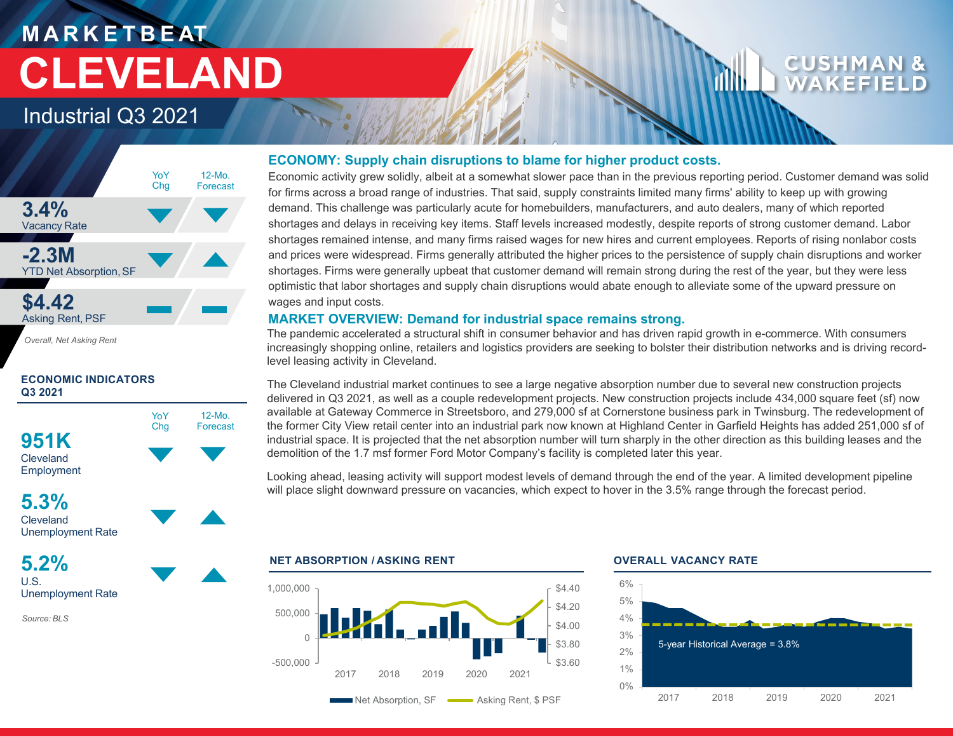# **M A R K E T B E AT CLEVELAND**

### Industrial Q3 2021



*Overall, Net Asking Rent*

### **ECONOMIC INDICATORS Q3 2021**



*Source: BLS*

### **ECONOMY: Supply chain disruptions to blame for higher product costs.**

Economic activity grew solidly, albeit at a somewhat slower pace than in the previous reporting period. Customer demand was solid for firms across a broad range of industries. That said, supply constraints limited many firms' ability to keep up with growing demand. This challenge was particularly acute for homebuilders, manufacturers, and auto dealers, many of which reported shortages and delays in receiving key items. Staff levels increased modestly, despite reports of strong customer demand. Labor shortages remained intense, and many firms raised wages for new hires and current employees. Reports of rising nonlabor costs and prices were widespread. Firms generally attributed the higher prices to the persistence of supply chain disruptions and worker shortages. Firms were generally upbeat that customer demand will remain strong during the rest of the year, but they were less optimistic that labor shortages and supply chain disruptions would abate enough to alleviate some of the upward pressure on wages and input costs.

### **MARKET OVERVIEW: Demand for industrial space remains strong.**

The pandemic accelerated a structural shift in consumer behavior and has driven rapid growth in e-commerce. With consumers increasingly shopping online, retailers and logistics providers are seeking to bolster their distribution networks and is driving recordlevel leasing activity in Cleveland.

The Cleveland industrial market continues to see a large negative absorption number due to several new construction projects delivered in Q3 2021, as well as a couple redevelopment projects. New construction projects include 434,000 square feet (sf) now available at Gateway Commerce in Streetsboro, and 279,000 sf at Cornerstone business park in Twinsburg. The redevelopment of the former City View retail center into an industrial park now known at Highland Center in Garfield Heights has added 251,000 sf of industrial space. It is projected that the net absorption number will turn sharply in the other direction as this building leases and the demolition of the 1.7 msf former Ford Motor Company's facility is completed later this year.

Looking ahead, leasing activity will support modest levels of demand through the end of the year. A limited development pipeline will place slight downward pressure on vacancies, which expect to hover in the 3.5% range through the forecast period.

### **NET ABSORPTION / ASKING RENT OVERALL VACANCY RATE**